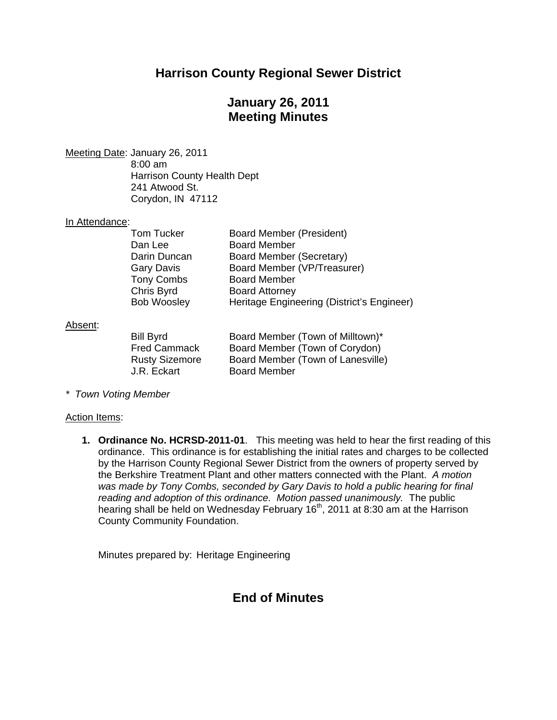## **Harrison County Regional Sewer District**

# **January 26, 2011 Meeting Minutes**

Meeting Date : January 26, 2011 8:00 am Harrison County Health Dept 241 Atwood St. Corydon, IN 47112

#### In Attendance:

| Tom Tucker         | Board Member (President)                   |
|--------------------|--------------------------------------------|
| Dan Lee            | <b>Board Member</b>                        |
| Darin Duncan       | Board Member (Secretary)                   |
| Gary Davis         | Board Member (VP/Treasurer)                |
| <b>Tony Combs</b>  | <b>Board Member</b>                        |
| Chris Byrd         | <b>Board Attorney</b>                      |
| <b>Bob Woosley</b> | Heritage Engineering (District's Engineer) |
|                    |                                            |

#### Absent:

| Bill Byrd             | Board Member (Town of Milltown)*  |
|-----------------------|-----------------------------------|
| <b>Fred Cammack</b>   | Board Member (Town of Corydon)    |
| <b>Rusty Sizemore</b> | Board Member (Town of Lanesville) |
| J.R. Eckart           | <b>Board Member</b>               |

*\* Town Voting Member*

#### Action Items:

**1. Ordinance No. HCRSD-2011-01**. This meeting was held to hear the first reading of this ordinance. This ordinance is for establishing the initial rates and charges to be collected by the Harrison County Regional Sewer District from the owners of property served by the Berkshire Treatment Plant and other matters connected with the Plant. *A motion was made by Tony Combs, seconded by Gary Davis to hold a public hearing for final reading and adoption of this ordinance. Motion passed unanimously.* The public hearing shall be held on Wednesday February 16<sup>th</sup>, 2011 at 8:30 am at the Harrison County Community Foundation.

Minutes prepared by: Heritage Engineering

### **End of Minutes**